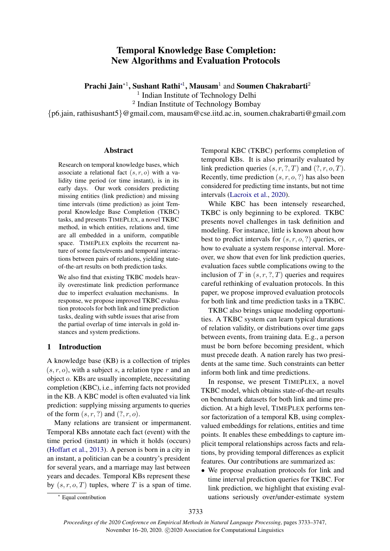# Temporal Knowledge Base Completion: New Algorithms and Evaluation Protocols

Prachi Jain $^*$ <sup>1</sup>, Sushant Rathi $^*$ <sup>1</sup>, Mausam $^1$  and Soumen Chakrabarti $^2$ 

<sup>1</sup> Indian Institute of Technology Delhi

<sup>2</sup> Indian Institute of Technology Bombay

{p6.jain, rathisushant5}@gmail.com, mausam@cse.iitd.ac.in, soumen.chakrabarti@gmail.com

#### Abstract

Research on temporal knowledge bases, which associate a relational fact  $(s, r, o)$  with a validity time period (or time instant), is in its early days. Our work considers predicting missing entities (link prediction) and missing time intervals (time prediction) as joint Temporal Knowledge Base Completion (TKBC) tasks, and presents TIMEPLEX, a novel TKBC method, in which entities, relations and, time are all embedded in a uniform, compatible space. TIMEPLEX exploits the recurrent nature of some facts/events and temporal interactions between pairs of relations, yielding stateof-the-art results on both prediction tasks.

We also find that existing TKBC models heavily overestimate link prediction performance due to imperfect evaluation mechanisms. In response, we propose improved TKBC evaluation protocols for both link and time prediction tasks, dealing with subtle issues that arise from the partial overlap of time intervals in gold instances and system predictions.

### 1 Introduction

A knowledge base (KB) is a collection of triples  $(s, r, o)$ , with a subject s, a relation type r and an object o. KBs are usually incomplete, necessitating completion (KBC), i.e., inferring facts not provided in the KB. A KBC model is often evaluated via link prediction: supplying missing arguments to queries of the form  $(s, r, ?)$  and  $(?, r, o)$ .

Many relations are transient or impermanent. Temporal KBs annotate each fact (event) with the time period (instant) in which it holds (occurs) [\(Hoffart et al.,](#page-9-0) [2013\)](#page-9-0). A person is born in a city in an instant, a politician can be a country's president for several years, and a marriage may last between years and decades. Temporal KBs represent these by  $(s, r, o, T)$  tuples, where T is a span of time. Temporal KBC (TKBC) performs completion of temporal KBs. It is also primarily evaluated by link prediction queries  $(s, r, ?, T)$  and  $(?, r, o, T)$ . Recently, time prediction  $(s, r, o, ?)$  has also been considered for predicting time instants, but not time intervals [\(Lacroix et al.,](#page-9-1) [2020\)](#page-9-1).

While KBC has been intensely researched, TKBC is only beginning to be explored. TKBC presents novel challenges in task definition and modeling. For instance, little is known about how best to predict intervals for  $(s, r, o, ?)$  queries, or how to evaluate a system response interval. Moreover, we show that even for link prediction queries, evaluation faces subtle complications owing to the inclusion of T in  $(s, r, ?, T)$  queries and requires careful rethinking of evaluation protocols. In this paper, we propose improved evaluation protocols for both link and time prediction tasks in a TKBC.

TKBC also brings unique modeling opportunities. A TKBC system can learn typical durations of relation validity, or distributions over time gaps between events, from training data. E.g., a person must be born before becoming president, which must precede death. A nation rarely has two presidents at the same time. Such constraints can better inform both link and time predictions.

In response, we present TIMEPLEX, a novel TKBC model, which obtains state-of-the-art results on benchmark datasets for both link and time prediction. At a high level, TIMEPLEX performs tensor factorization of a temporal KB, using complexvalued embeddings for relations, entities and time points. It enables these embeddings to capture implicit temporal relationships across facts and relations, by providing temporal differences as explicit features. Our contributions are summarized as:

• We propose evaluation protocols for link and time interval prediction queries for TKBC. For link prediction, we highlight that existing evaluations seriously over/under-estimate system

<sup>∗</sup> Equal contribution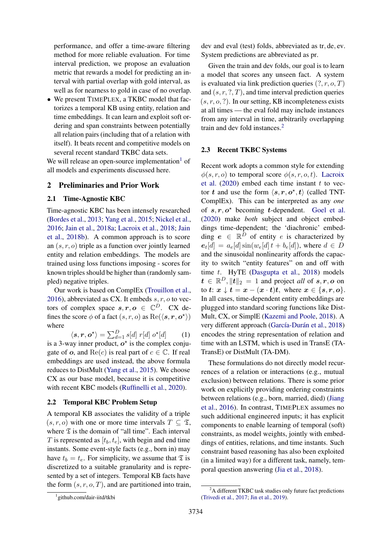performance, and offer a time-aware filtering method for more reliable evaluation. For time interval prediction, we propose an evaluation metric that rewards a model for predicting an interval with partial overlap with gold interval, as well as for nearness to gold in case of no overlap.

• We present TIMEPLEX, a TKBC model that factorizes a temporal KB using entity, relation and time embeddings. It can learn and exploit soft ordering and span constraints between potentially all relation pairs (including that of a relation with itself). It beats recent and competitive models on several recent standard TKBC data sets.

We will release an open-source implementation<sup>[1](#page-1-0)</sup> of all models and experiments discussed here.

### 2 Preliminaries and Prior Work

#### 2.1 Time-Agnostic KBC

Time-agnostic KBC has been intensely researched [\(Bordes et al.,](#page-9-2) [2013;](#page-9-2) [Yang et al.,](#page-10-0) [2015;](#page-10-0) [Nickel et al.,](#page-10-1) [2016;](#page-10-1) [Jain et al.,](#page-9-3) [2018a;](#page-9-3) [Lacroix et al.,](#page-9-4) [2018;](#page-9-4) [Jain](#page-9-5) [et al.,](#page-9-5) [2018b\)](#page-9-5). A common approach is to score an  $(s, r, o)$  triple as a function over jointly learned entity and relation embeddings. The models are trained using loss functions imposing - scores for known triples should be higher than (randomly sampled) negative triples.

Our work is based on ComplEx [\(Trouillon et al.,](#page-10-2) [2016\)](#page-10-2), abbreviated as CX. It embeds  $s, r, o$  to vectors of complex space  $s, r, o \in \mathbb{C}^D$ . CX defines the score  $\phi$  of a fact  $(s, r, o)$  as  $\text{Re}(\langle s, r, o^* \rangle)$ where

 $\langle s, r, o^{\star} \rangle = \sum_{d=1}^{D} s[d] \; r[d] \; o^{\star}$ [d] (1) is a 3-way inner product,  $o^*$  is the complex conjugate of o, and  $Re(c)$  is real part of  $c \in \mathbb{C}$ . If real embeddings are used instead, the above formula reduces to DistMult [\(Yang et al.,](#page-10-0) [2015\)](#page-10-0). We choose CX as our base model, because it is competitive with recent KBC models [\(Ruffinelli et al.,](#page-10-3) [2020\)](#page-10-3).

### <span id="page-1-2"></span>2.2 Temporal KBC Problem Setup

A temporal KB associates the validity of a triple  $(s, r, o)$  with one or more time intervals  $T \subseteq \mathfrak{T}$ , where  $\mathfrak T$  is the domain of "all time". Each interval T is represented as  $[t_b, t_e]$ , with begin and end time instants. Some event-style facts (e.g., born in) may have  $t_b = t_e$ . For simplicity, we assume that  $\mathfrak T$  is discretized to a suitable granularity and is represented by a set of integers. Temporal KB facts have the form  $(s, r, o, T)$ , and are partitioned into train,

Given the train and dev folds, our goal is to learn a model that scores any unseen fact. A system is evaluated via link prediction queries  $(?, r, o, T)$ and  $(s, r, ?, T)$ , and time interval prediction queries  $(s, r, o, ?)$ . In our setting, KB incompleteness exists at all times — the eval fold may include instances from any interval in time, arbitrarily overlapping train and dev fold instances.<sup>[2](#page-1-1)</sup>

#### 2.3 Recent TKBC Systems

Recent work adopts a common style for extending  $\phi(s, r, o)$  to temporal score  $\phi(s, r, o, t)$ . [Lacroix](#page-9-1) [et al.](#page-9-1)  $(2020)$  embed each time instant t to vector t and use the form  $\langle s, r, o^*, t \rangle$  (called TNT-ComplEx). This can be interpreted as any *one* of  $s, r, o^*$  becoming *t*-dependent. [Goel et al.](#page-9-6) [\(2020\)](#page-9-6) make *both* subject and object embeddings time-dependent; the 'diachronic' embedding  $e \in \mathbb{R}^D$  of entity e is characterized by  $e_t[d] = a_e[d] \sin(w_e[d]t + b_e[d]),$  where  $d \in D$ and the sinusoidal nonlinearity affords the capacity to switch "entity features" on and off with time  $t$ . HyTE [\(Dasgupta et al.,](#page-9-7) [2018\)](#page-9-7) models  $t \in \mathbb{R}^D, \|t\|_2 = 1$  and project *all* of  $s, r, o$  on to t:  $x \downarrow t = x - (x \cdot t)t$ , where  $x \in \{s, r, o\}$ . In all cases, time-dependent entity embeddings are plugged into standard scoring functions like Dist-Mult, CX, or SimplE [\(Kazemi and Poole,](#page-9-8) [2018\)](#page-9-8). A very different approach (García-Durán et al., [2018\)](#page-9-9) encodes the string representation of relation and time with an LSTM, which is used in TransE (TA-TransE) or DistMult (TA-DM).

These formulations do not directly model recurrences of a relation or interactions (e.g., mutual exclusion) between relations. There is some prior work on explicitly providing ordering constraints between relations (e.g., born, married, died) [\(Jiang](#page-9-10) [et al.,](#page-9-10) [2016\)](#page-9-10). In contrast, TIMEPLEX assumes no such additional engineered inputs; it has explicit components to enable learning of temporal (soft) constraints, as model weights, jointly with embeddings of entities, relations, and time instants. Such constraint based reasoning has also been exploited (in a limited way) for a different task, namely, temporal question answering [\(Jia et al.,](#page-9-11) [2018\)](#page-9-11).

dev and eval (test) folds, abbreviated as tr, de, ev. System predictions are abbreviated as pr.

<span id="page-1-0"></span><sup>1</sup> github.com/dair-iitd/tkbi

<span id="page-1-1"></span><sup>&</sup>lt;sup>2</sup>A different TKBC task studies only future fact predictions [\(Trivedi et al.,](#page-10-4) [2017;](#page-10-4) [Jin et al.,](#page-9-12) [2019\)](#page-9-12).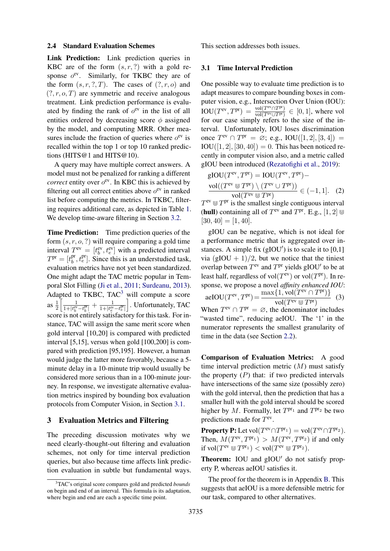#### 2.4 Standard Evaluation Schemes

Link Prediction: Link prediction queries in KBC are of the form  $(s, r, ?)$  with a gold response  $o^{ev}$ . Similarly, for TKBC they are of the form  $(s, r, ?, T)$ . The cases of  $(?, r, o)$  and  $(?, r, o, T)$  are symmetric and receive analogous treatment. Link prediction performance is evaluated by finding the rank of  $o^{ev}$  in the list of all entities ordered by decreasing score  $\phi$  assigned by the model, and computing MRR. Other measures include the fraction of queries where  $o^{ev}$  is recalled within the top 1 or top 10 ranked predictions (HITS@1 and HITS@10).

A query may have multiple correct answers. A model must not be penalized for ranking a different *correct* entity over  $o^{ev}$ . In KBC this is achieved by filtering out all correct entities above  $o^{ev}$  in ranked list before computing the metrics. In TKBC, filtering requires additional care, as depicted in Table [1.](#page-3-0) We develop time-aware filtering in Section [3.2.](#page-3-1)

Time Prediction: Time prediction queries of the form  $(s, r, o, ?)$  will require comparing a gold time interval  $T^{\text{ev}} = [t_b^{\text{ev}}, t_e^{\text{ev}}]$  with a predicted interval  $T^{\text{pr}}=[t_{b}^{\text{pr}}]$  $b<sub>b</sub>$ ,  $t<sub>e</sub><sup>pr</sup>$ . Since this is an understudied task, evaluation metrics have not yet been standardized. One might adapt the TAC metric popular in Temporal Slot Filling [\(Ji et al.,](#page-9-13) [2011;](#page-9-13) [Surdeanu,](#page-10-5) [2013\)](#page-10-5). Adapted to TKBC,  $TAC<sup>3</sup>$  $TAC<sup>3</sup>$  $TAC<sup>3</sup>$  will compute a score as  $\frac{1}{2} \left[ \frac{1}{1 + |t_{k}^{ev}|} \right]$  $\frac{1}{1+|t_b^{\text{ev}}-t_b^{\text{pr}}|}+\frac{1}{1+|t_e^{\text{ev}}}$  $\overline{1+|t_e^{\text{ev}}-t_e^{\text{pr}}|}$ ]. Unfortunately, TAC score is not entirely satisfactory for this task. For instance, TAC will assign the same merit score when gold interval [10,20] is compared with predicted interval [5,15], versus when gold [100,200] is compared with prediction [95,195]. However, a human would judge the latter more favorably, because a 5 minute delay in a 10-minute trip would usually be considered more serious than in a 100-minute journey. In response, we investigate alternative evaluation metrics inspired by bounding box evaluation protocols from Computer Vision, in Section [3.1.](#page-2-1)

### 3 Evaluation Metrics and Filtering

The preceding discussion motivates why we need clearly-thought-out filtering and evaluation schemes, not only for time interval prediction queries, but also because time affects link prediction evaluation in subtle but fundamental ways. This section addresses both issues.

#### <span id="page-2-1"></span>3.1 Time Interval Prediction

One possible way to evaluate time prediction is to adapt measures to compare bounding boxes in computer vision, e.g., Intersection Over Union (IOU):  $\overline{\text{IOU}(T^{\text{ev}}, T^{\text{pr}})} = \frac{\text{vol}(T^{\text{ev}} \cap T^{\text{pr}})}{\text{vol}(T^{\text{ev}} \cap T^{\text{pr}})}$  $\frac{\text{vol}(T^{\text{ev}} \cup T^{\text{pr}})}{\text{vol}(T^{\text{ev}} \cup T^{\text{pr}})} \in [0, 1]$ , where vol for our case simply refers to the size of the interval. Unfortunately, IOU loses discrimination once  $T^{ev} \cap T^{pr} = \emptyset$ ; e.g., IOU([1, 2], [3, 4]) =  $IOU([1, 2], [30, 40]) = 0$ . This has been noticed recently in computer vision also, and a metric called gIOU been introduced [\(Rezatofighi et al.,](#page-10-6) [2019\)](#page-10-6):

<span id="page-2-3"></span>
$$
\begin{aligned} \mathbf{g} \mathbf{IOU}(T^{\text{ev}}, T^{\text{pr}}) &= \mathbf{IOU}(T^{\text{ev}}, T^{\text{pr}}) - \\ \frac{\text{vol}((T^{\text{ev}} \cup T^{\text{pr}}) \setminus (T^{\text{ev}} \cup T^{\text{pr}}))}{\text{vol}(T^{\text{ev}} \cup T^{\text{pr}})} &\in (-1, 1]. \end{aligned} \tag{2}
$$

 $T^{\text{ev}} \nsubseteq T^{\text{pr}}$  is the smallest single contiguous interval (hull) containing all of  $T^{\text{ev}}$  and  $T^{\text{pr}}$ . E.g.,  $[1, 2] \cup$  $[30, 40] = [1, 40].$ 

<span id="page-2-2"></span>gIOU can be negative, which is not ideal for a performance metric that is aggregated over instances. A simple fix  $(gIOU')$  is to scale it to  $[0,1]$ via  $(gIOU + 1)/2$ , but we notice that the tiniest overlap between  $T^{\text{ev}}$  and  $T^{\text{pr}}$  yields gIOU' to be at least half, regardless of  $vol(T^{ev})$  or  $vol(T^{pr})$ . In response, we propose a novel *affinity enhanced IOU*:  $\text{aeIOU}(T^{\text{ev}}, T^{\text{pr}}) = \frac{\max\{1, \text{vol}(T^{\text{ev}} \cap T^{\text{pr}})\}}{1/(T^{\text{ev}} \min T^{\text{pr}})}$  $vol(T^{ev} \cup T^{pr})$ (3) When  $T^{\text{ev}} \cap T^{\text{pr}} = \emptyset$ , the denominator includes "wasted time", reducing aeIOU. The '1' in the numerator represents the smallest granularity of time in the data (see Section [2.2\)](#page-1-2).

Comparison of Evaluation Metrics: A good time interval prediction metric  $(M)$  must satisfy the property  $(P)$  that: if two predicted intervals have intersections of the same size (possibly zero) with the gold interval, then the prediction that has a smaller hull with the gold interval should be scored higher by M. Formally, let  $T^{pr_1}$  and  $T^{pr_2}$  be two predictions made for  $T^{\text{ev}}$ .

**Property P:** Let  $\text{vol}(T^{\text{ev}} \cap T^{\text{pr}_1}) = \text{vol}(T^{\text{ev}} \cap T^{\text{pr}_2}).$ Then,  $M(T^{ev}, T^{pr_1}) > M(T^{ev}, T^{pr_2})$  if and only if  $\mathrm{vol}(T^{\mathrm{ev}} \cup T^{\mathrm{pr}_1}) < \mathrm{vol}(T^{\mathrm{ev}} \cup T^{\mathrm{pr}_2}).$ 

Theorem: IOU and gIOU' do not satisfy property P, whereas aeIOU satisfies it.

The proof for the theorem is in Appendix [B.](#page-11-0) This suggests that aeIOU is a more defensible metric for our task, compared to other alternatives.

<span id="page-2-0"></span><sup>3</sup>TAC's original score compares gold and predicted *bounds* on begin and end of an interval. This formula is its adaptation, where begin and end are each a specific time point.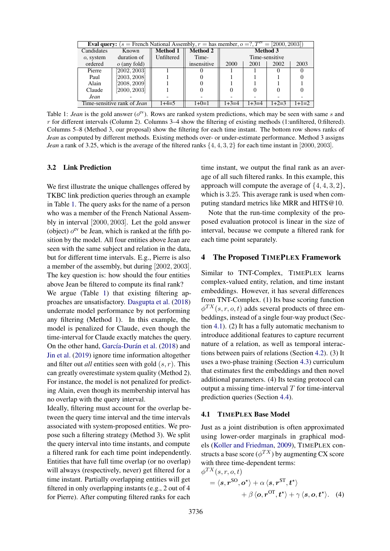<span id="page-3-0"></span>

|            | <b>Eval query:</b> $(s =$ French National Assembly, $r =$ has member, $o = ?$ , $Tev = [2000, 2003]$ |            |                 |                 |         |                |         |  |  |  |
|------------|------------------------------------------------------------------------------------------------------|------------|-----------------|-----------------|---------|----------------|---------|--|--|--|
| Candidates | Known                                                                                                | Method 1   | <b>Method 2</b> | <b>Method 3</b> |         |                |         |  |  |  |
| o, system  | duration of                                                                                          | Unfiltered | Time-           |                 |         | Time-sensitive |         |  |  |  |
| ordered    | $o$ (any fold)                                                                                       |            | insensitive     | 2000            | 2001    | 2002           | 2003    |  |  |  |
| Pierre     | [2002, 2003]                                                                                         |            |                 |                 |         |                |         |  |  |  |
| Paul       | 2003, 2008]                                                                                          |            |                 |                 |         |                |         |  |  |  |
| Alain      | [2008, 2009]                                                                                         |            |                 |                 |         |                |         |  |  |  |
| Claude     | [2000, 2003]                                                                                         |            |                 |                 |         |                |         |  |  |  |
| Jean       |                                                                                                      |            |                 |                 |         |                |         |  |  |  |
|            | Time-sensitive rank of Jean                                                                          | $1+4=5$    | $1+0=1$         | $1+3=4$         | $1+3=4$ | $1+2=3$        | $1+1=2$ |  |  |  |

Table 1: *Jean* is the gold answer ( $o^{ev}$ ). Rows are ranked system predictions, which may be seen with same s and r for different intervals (Column 2). Columns 3–4 show the filtering of existing methods (1:unfiltered, 0:filtered). Columns 5–8 (Method 3, our proposal) show the filtering for each time instant. The bottom row shows ranks of *Jean* as computed by different methods. Existing methods over- or under-estimate performance. Method 3 assigns *Jean* a rank of 3.25, which is the average of the filtered ranks  $\{4, 4, 3, 2\}$  for each time instant in [2000, 2003].

### <span id="page-3-1"></span>3.2 Link Prediction

We first illustrate the unique challenges offered by TKBC link prediction queries through an example in Table [1.](#page-3-0) The query asks for the name of a person who was a member of the French National Assembly in interval [2000, 2003]. Let the gold answer (object)  $o^{ev}$  be Jean, which is ranked at the fifth position by the model. All four entities above Jean are seen with the same subject and relation in the data, but for different time intervals. E.g., Pierre is also a member of the assembly, but during [2002, 2003]. The key question is: how should the four entities above Jean be filtered to compute its final rank?

We argue (Table [1\)](#page-3-0) that existing filtering approaches are unsatisfactory. [Dasgupta et al.](#page-9-7) [\(2018\)](#page-9-7) underrate model performance by not performing any filtering (Method 1). In this example, the model is penalized for Claude, even though the time-interval for Claude exactly matches the query. On the other hand, García-Durán et al. [\(2018\)](#page-9-9) and [Jin et al.](#page-9-12) [\(2019\)](#page-9-12) ignore time information altogether and filter out *all* entities seen with gold  $(s, r)$ . This can greatly overestimate system quality (Method 2). For instance, the model is not penalized for predicting Alain, even though its membership interval has no overlap with the query interval.

Ideally, filtering must account for the overlap between the query time interval and the time intervals associated with system-proposed entities. We propose such a filtering strategy (Method 3). We split the query interval into time instants, and compute a filtered rank for each time point independently. Entities that have full time overlap (or no overlap) will always (respectively, never) get filtered for a time instant. Partially overlapping entities will get filtered in only overlapping instants (e.g., 2 out of 4 for Pierre). After computing filtered ranks for each

time instant, we output the final rank as an average of all such filtered ranks. In this example, this approach will compute the average of  $\{4, 4, 3, 2\}$ , which is 3.25. This average rank is used when computing standard metrics like MRR and HITS@10.

Note that the run-time complexity of the proposed evaluation protocol is linear in the size of interval, because we compute a filtered rank for each time point separately.

#### 4 The Proposed TIMEPLEX Framework

Similar to TNT-Complex, TIMEPLEX learns complex-valued entity, relation, and time instant embeddings. However, it has several differences from TNT-Complex. (1) Its base scoring function  $\phi^{TX}(s, r, o, t)$  adds several products of three embeddings, instead of a single four-way product (Section [4.1\)](#page-3-2). (2) It has a fully automatic mechanism to introduce additional features to capture recurrent nature of a relation, as well as temporal interactions between pairs of relations (Section [4.2\)](#page-4-0). (3) It uses a two-phase training (Section [4.3\)](#page-5-0) curriculum that estimates first the embeddings and then novel additional parameters. (4) Its testing protocol can output a missing time-interval  $T$  for time-interval prediction queries (Section [4.4\)](#page-5-1).

#### <span id="page-3-2"></span>4.1 TIMEPLEX Base Model

Just as a joint distribution is often approximated using lower-order marginals in graphical models [\(Koller and Friedman,](#page-9-14) [2009\)](#page-9-14), TIMEPLEX constructs a base score ( $\phi^{TX}$ ) by augmenting CX score with three time-dependent terms:

<span id="page-3-3"></span>
$$
\phi^{TX}(s,r,o,t) = \langle s, r^{\text{SO}}, o^{\star} \rangle + \alpha \langle s, r^{\text{ST}}, t^{\star} \rangle + \beta \langle o, r^{\text{OT}}, t^{\star} \rangle + \gamma \langle s, o, t^{\star} \rangle. \tag{4}
$$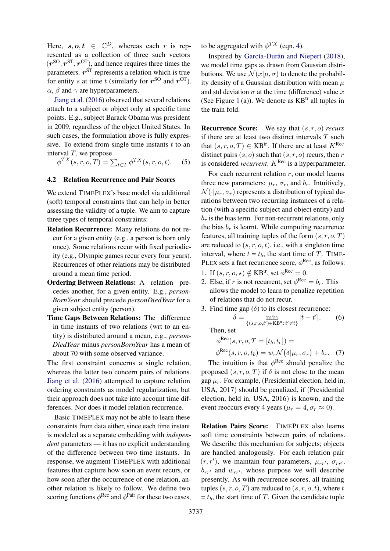Here,  $s, o, t \in \mathbb{C}^D$ , whereas each r is represented as a collection of three such vectors  $(r^{SO}, r^{ST}, r^{OT})$ , and hence requires three times the parameters.  $r^{ST}$  represents a relation which is true for entity s at time t (similarly for  $r^{SO}$  and  $r^{OT}$ ).  $\alpha$ ,  $\beta$  and  $\gamma$  are hyperparameters.

[Jiang et al.](#page-9-10) [\(2016\)](#page-9-10) observed that several relations attach to a subject or object only at specific time points. E.g., subject Barack Obama was president in 2009, regardless of the object United States. In such cases, the formulation above is fully expressive. To extend from single time instants  $t$  to an interval  $T$ , we propose

 $\phi^{TX}(s, r, o, T) = \sum_{t \in T} \phi^{TX}(s, r, o, t).$  (5)

## <span id="page-4-0"></span>4.2 Relation Recurrence and Pair Scores

We extend TIMEPLEX's base model via additional (soft) temporal constraints that can help in better assessing the validity of a tuple. We aim to capture three types of temporal constraints:

- Relation Recurrence: Many relations do not recur for a given entity (e.g., a person is born only once). Some relations recur with fixed periodicity (e.g., Olympic games recur every four years). Recurrences of other relations may be distributed around a mean time period.
- Ordering Between Relations: A relation precedes another, for a given entity. E.g., *person-BornYear* should precede *personDiedYear* for a given subject entity (person).
- Time Gaps Between Relations: The difference in time instants of two relations (wrt to an entity) is distributed around a mean, e.g., *person-DiedYear* minus *personBornYear* has a mean of about 70 with some observed variance.

The first constraint concerns a single relation, whereas the latter two concern pairs of relations. [Jiang et al.](#page-9-10) [\(2016\)](#page-9-10) attempted to capture relation ordering constraints as model regularization, but their approach does not take into account time differences. Nor does it model relation recurrence.

Basic TIMEPLEX may not be able to learn these constraints from data either, since each time instant is modeled as a separate embedding with *independent* parameters — it has no explicit understanding of the difference between two time instants. In response, we augment TIMEPLEX with additional features that capture how soon an event recurs, or how soon after the occurrence of one relation, another relation is likely to follow. We define two scoring functions  $\phi^{\text{Rec}}$  and  $\phi^{\text{Pair}}$  for these two cases, to be aggregated with  $\phi^{TX}$  (eqn. [4\)](#page-3-3).

Inspired by García-Durán and Niepert [\(2018\)](#page-9-15), we model time gaps as drawn from Gaussian distributions. We use  $\mathcal{N}(x|\mu, \sigma)$  to denote the probability density of a Gaussian distribution with mean  $\mu$ and std deviation  $\sigma$  at the time (difference) value x (See Figure [1](#page-5-2) (a)). We denote as  $KB<sup>tr</sup>$  all tuples in the train fold.

Recurrence Score: We say that (s, r, o) *recurs* if there are at least two distinct intervals  $T$  such that  $(s, r, o, T) \in KB^{\text{tr}}$ . If there are at least  $K^{\text{Rec}}$ distinct pairs  $(s, o)$  such that  $(s, r, o)$  recurs, then r is considered *recurrent*.  $K^{\text{Rec}}$  is a hyperparameter.

For each recurrent relation  $r$ , our model learns three new parameters:  $\mu_r$ ,  $\sigma_r$ , and  $b_r$ . Intuitively,  $\mathcal{N}(\cdot|\mu_r, \sigma_r)$  represents a distribution of typical durations between two recurring instances of a relation (with a specific subject and object entity) and  $b_r$  is the bias term. For non-recurrent relations, only the bias  $b_r$  is learnt. While computing recurrence features, all training tuples of the form  $(s, r, o, T)$ are reduced to  $(s, r, o, t)$ , i.e., with a singleton time interval, where  $t = t_b$ , the start time of T. TIME-PLEX sets a fact recurrence score,  $\phi^{\text{Rec}}$ , as follows:

- 1. If  $(s, r, o, \star) \notin KB^{\text{tr}},$  set  $\phi^{\text{Rec}} = 0$ .
- 2. Else, if r is not recurrent, set  $\phi^{\text{Rec}} = b_r$ . This allows the model to learn to penalize repetition of relations that do not recur.
- 3. Find time gap  $(\delta)$  to its closest recurrence:  $\delta = \min_{\{(s,r,o,t') \in \mathbf{KB}^{\text{tr}}: t' \neq t\}} |t-t'|$  $(6)$

Then, set

$$
\phi^{\text{Rec}}(s, r, o, T = [t_b, t_e]) =
$$

 $\phi^{\text{Rec}}(s, r, o, t_b) = w_r \mathcal{N}(\delta | \mu_r, \sigma_r) + b_r.$  (7)

The intuition is that  $\phi^{\text{Rec}}$  should penalize the proposed  $(s, r, o, T)$  if  $\delta$  is not close to the mean gap  $\mu_r$ . For example, (Presidential election, held in, USA, 2017) should be penalized, if (Presidential election, held in, USA, 2016) is known, and the event reoccurs every 4 years ( $\mu_r = 4, \sigma_r \approx 0$ ).

Relation Pairs Score: TIMEPLEX also learns soft time constraints between pairs of relations. We describe this mechanism for subjects; objects are handled analogously. For each relation pair  $(r, r')$ , we maintain four parameters,  $\mu_{rr'}$ ,  $\sigma_{rr'}$ ,  $b_{rr'}$  and  $w_{rr'}$ , whose purpose we will describe presently. As with recurrence scores, all training tuples  $(s, r, o, T)$  are reduced to  $(s, r, o, t)$ , where t  $= t_b$ , the start time of T. Given the candidate tuple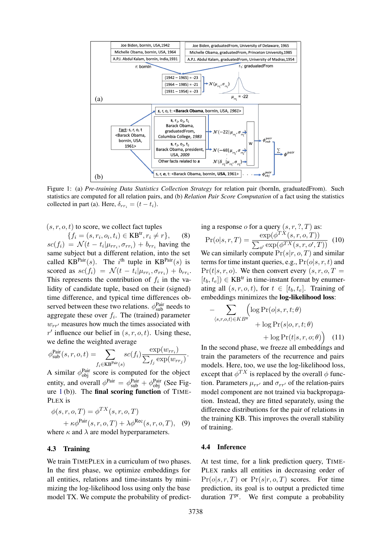<span id="page-5-2"></span>

Figure 1: (a) *Pre-training Data Statistics Collection Strategy* for relation pair (bornIn, graduatedFrom). Such statistics are computed for all relation pairs, and (b) *Relation Pair Score Computation* of a fact using the statistics collected in part (a). Here,  $\delta_{rr_i} = (t - t_i)$ .

 $(s, r, o, t)$  to score, we collect fact tuples

 $\{f_i = (s, r_i, o_i, t_i) \in \text{KB}^{\text{tr}}, r_i \neq r\},\qquad(8)$  $\mathit{sc}(f_i) = \mathcal{N}(t - t_i | \mu_{rr_i}, \sigma_{rr_i}) + b_{rr_i}$  having the same subject but a different relation, into the set called KB<sup>Pair</sup>(s). The *i*<sup>th</sup> tuple in KB<sup>Pair</sup>(s) is scored as  $sc(f_i) = \mathcal{N}(t - t_i | \mu_{rr_i}, \sigma_{rr_i}) + b_{rr_i}$ . This represents the contribution of  $f_i$  in the validity of candidate tuple, based on their (signed) time difference, and typical time differences observed between these two relations.  $\phi_{sub}^{Pair}$  needs to aggregate these over  $f_i$ . The (trained) parameter  $w_{rr}$  measures how much the times associated with  $r'$  influence our belief in  $(s, r, o, t)$ . Using these, we define the weighted average

$$
\phi_{\text{sub}}^{\text{Pair}}(s,r,o,t) = \sum_{f_i \in \text{KB}^{\text{Pair}}(s)} sc(f_i) \frac{\exp(w_{rr_i})}{\sum_{f_j} \exp(w_{rr_j})}.
$$

A similar  $\phi_{obj}^{Pair}$  score is computed for the object entity, and overall  $\phi_{\text{pair}}^{\text{Pair}} = \phi_{\text{sub}}^{\text{Pair}} + \phi_{\text{obj}}^{\text{Pair}}$  (See Figure  $1(b)$  $1(b)$ ). The final scoring function of TIME-PLEX is

$$
\phi(s, r, o, T) = \phi^{TX}(s, r, o, T)
$$
  
+  $\kappa \phi^{\text{Pair}}(s, r, o, T) + \lambda \phi^{\text{Rec}}(s, r, o, T),$  (9)  
where  $\kappa$  and  $\lambda$  are model hyperparameters.

### <span id="page-5-0"></span>4.3 Training

We train TIMEPLEX in a curriculum of two phases. In the first phase, we optimize embeddings for all entities, relations and time-instants by minimizing the log-likelihood loss using only the base model TX. We compute the probability of predicting a response  $o$  for a query  $(s, r, ?, T)$  as:  $\Pr(o|s, r, T) = \frac{\exp(\phi^{TX}(s, r, o, T))}{\sum_{r \in \mathcal{F}(X, r, o, T)}$  $\frac{\exp(\varphi^{-1}(0, r, 0, 1))}{\sum_{o'} \exp(\phi^{TX}(s, r, o', T))}$  (10) We can similarly compute  $Pr(s|r, o, T)$  and similar terms for time instant queries, e.g.,  $Pr(o|s, r, t)$  and  $Pr(t|s, r, o)$ . We then convert every  $(s, r, o, T =$  $[t_b, t_e]$ )  $\in$  KB<sup>tr</sup> in time-instant format by enumerating all  $(s, r, o, t)$ , for  $t \in [t_b, t_e]$ . Training of embeddings minimizes the log-likelihood loss:

$$
- \sum_{\langle s,r,o,t\rangle \in KB^{\text{tr}}}\left(\log \Pr(o|s,r,t;\theta) + \log \Pr(s|o,r,t;\theta) + \log \Pr(t|s,r,o;\theta)\right)
$$
(11)

In the second phase, we freeze all embeddings and train the parameters of the recurrence and pairs models. Here, too, we use the log-likelihood loss, except that  $\phi^{TX}$  is replaced by the overall  $\phi$  function. Parameters  $\mu_{rr'}$  and  $\sigma_{rr'}$  of the relation-pairs model component are not trained via backpropagation. Instead, they are fitted separately, using the difference distributions for the pair of relations in the training KB. This improves the overall stability of training.

### <span id="page-5-3"></span><span id="page-5-1"></span>4.4 Inference

At test time, for a link prediction query, TIME-PLEX ranks all entities in decreasing order of  $Pr(o|s, r, T)$  or  $Pr(s|r, o, T)$  scores. For time prediction, its goal is to output a predicted time duration  $T<sup>pr</sup>$ . We first compute a probability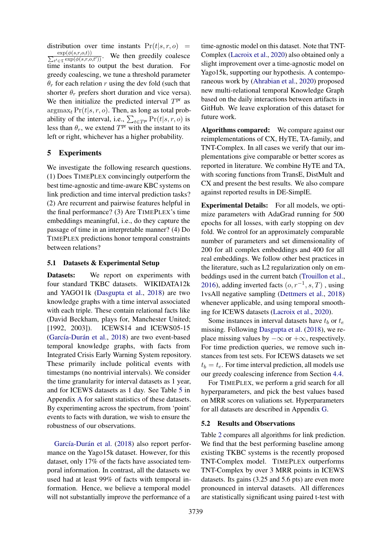distribution over time instants  $Pr(t|s, r, o)$  =  $\sum_{}^{}% \left( \sum_{}^{}% \vec{r}^{\prime }_{i}+\sum_{}^{}% \vec{r}^{\prime }_{i}+\sum_{}^{}% \vec{r}^{\prime }_{i}+\sum_{}^{}% \vec{r}^{\prime }_{i}+\sum_{}^{}% \vec{r}^{\prime }_{i}+\sum_{}^{}% \vec{r}^{\prime }_{i}+\sum_{}^{}% \vec{r}^{\prime }_{i}+\sum_{}^{}% \vec{r}^{\prime }_{i}+\sum_{}^{}% \vec{r}^{\prime }_{i}+\sum_{}^{}% \vec{r}^{\prime }_{i}+\sum_{}^{}% \vec{r}^{\prime }_{i}+\$  $\exp(\phi(s,r,o,t))$  $\frac{\exp(\phi(s,r,o,t))}{t' \in \mathcal{I}}$  exp $(\phi(s,r,o,t'))$ . We then greedily coalesce time instants to output the best duration. For greedy coalescing, we tune a threshold parameter  $\theta_r$  for each relation r using the dev fold (such that shorter  $\theta_r$  prefers short duration and vice versa). We then initialize the predicted interval  $T<sup>pr</sup>$  as  $argmax_t \Pr(t|s, r, o)$ . Then, as long as total probability of the interval, i.e.,  $\sum_{t \in T^{\text{pr}}} \Pr(t|s, r, o)$  is less than  $\theta_r$ , we extend  $T^{\text{pr}}$  with the instant to its left or right, whichever has a higher probability.

## 5 Experiments

We investigate the following research questions. (1) Does TIMEPLEX convincingly outperform the best time-agnostic and time-aware KBC systems on link prediction and time interval prediction tasks? (2) Are recurrent and pairwise features helpful in the final performance? (3) Are TIMEPLEX's time embeddings meaningful, i.e., do they capture the passage of time in an interpretable manner? (4) Do TIMEPLEX predictions honor temporal constraints between relations?

## 5.1 Datasets & Experimental Setup

Datasets: We report on experiments with four standard TKBC datasets. WIKIDATA12k and YAGO11k [\(Dasgupta et al.,](#page-9-7) [2018\)](#page-9-7) are two knowledge graphs with a time interval associated with each triple. These contain relational facts like (David Beckham, plays for, Manchester United; [1992, 2003]). ICEWS14 and ICEWS05-15 (García-Durán et al., [2018\)](#page-9-9) are two event-based temporal knowledge graphs, with facts from Integrated Crisis Early Warning System repository. These primarily include political events with timestamps (no nontrivial intervals). We consider the time granularity for interval datasets as 1 year, and for ICEWS datasets as 1 day. See Table [5](#page-12-0) in Appendix [A](#page-11-1) for salient statistics of these datasets. By experimenting across the spectrum, from 'point' events to facts with duration, we wish to ensure the robustness of our observations.

García-Durán et al. [\(2018\)](#page-9-9) also report performance on the Yago15k dataset. However, for this dataset, only 17% of the facts have associated temporal information. In contrast, all the datasets we used had at least 99% of facts with temporal information. Hence, we believe a temporal model will not substantially improve the performance of a

time-agnostic model on this dataset. Note that TNT-Complex [\(Lacroix et al.,](#page-9-1) [2020\)](#page-9-1) also obtained only a slight improvement over a time-agnostic model on Yago15k, supporting our hypothesis. A contemporaneous work by [\(Ahrabian et al.,](#page-9-16) [2020\)](#page-9-16) proposed new multi-relational temporal Knowledge Graph based on the daily interactions between artifacts in GitHub. We leave exploration of this dataset for future work.

Algorithms compared: We compare against our reimplementations of CX, HyTE, TA-family, and TNT-Complex. In all cases we verify that our implementations give comparable or better scores as reported in literature. We combine HyTE and TA, with scoring functions from TransE, DistMult and CX and present the best results. We also compare against reported results in DE-SimplE.

Experimental Details: For all models, we optimize parameters with AdaGrad running for 500 epochs for all losses, with early stopping on dev fold. We control for an approximately comparable number of parameters and set dimensionality of 200 for all complex embeddings and 400 for all real embeddings. We follow other best practices in the literature, such as L2 regularization only on embeddings used in the current batch [\(Trouillon et al.,](#page-10-2) [2016\)](#page-10-2), adding inverted facts  $(o, r^{-1}, s, T)$ , using 1vsAll negative sampling [\(Dettmers et al.,](#page-9-17) [2018\)](#page-9-17) whenever applicable, and using temporal smoothing for ICEWS datasets [\(Lacroix et al.,](#page-9-1) [2020\)](#page-9-1).

Some instances in interval datasets have  $t_b$  or  $t_e$ missing. Following [Dasgupta et al.](#page-9-7) [\(2018\)](#page-9-7), we replace missing values by  $-\infty$  or  $+\infty$ , respectively. For time prediction queries, we remove such instances from test sets. For ICEWS datasets we set  $t_b = t_e$ . For time interval prediction, all models use our greedy coalescing inference from Section [4.4.](#page-5-1)

For TIMEPLEX, we perform a grid search for all hyperparameters, and pick the best values based on MRR scores on valiations set. Hyperparameters for all datasets are described in Appendix [G.](#page-11-2)

#### 5.2 Results and Observations

Table [2](#page-7-0) compares all algorithms for link prediction. We find that the best performing baseline among existing TKBC systems is the recently proposed TNT-Complex model. TIMEPLEX outperforms TNT-Complex by over 3 MRR points in ICEWS datasets. Its gains (3.25 and 5.6 pts) are even more pronounced in interval datasets. All differences are statistically significant using paired t-test with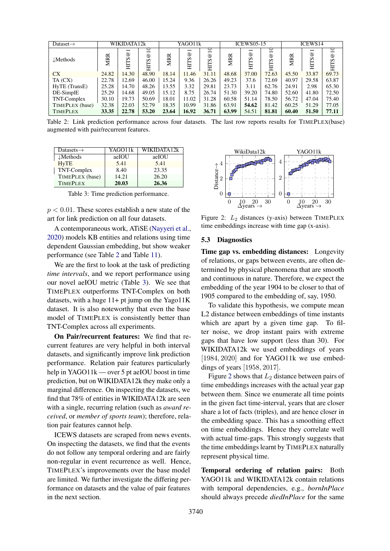<span id="page-7-0"></span>

| Dataset $\rightarrow$ |            | WIKIDATA12k                                            |                                   |            | YAGO11k                        |                                          |            | <b>ICEWS05-15</b>                                     |                               |            | <b>ICEWS14</b>                                   |                                        |
|-----------------------|------------|--------------------------------------------------------|-----------------------------------|------------|--------------------------------|------------------------------------------|------------|-------------------------------------------------------|-------------------------------|------------|--------------------------------------------------|----------------------------------------|
| $\downarrow$ Methods  | <b>MRR</b> | $\overline{\phantom{0}}$<br>$^{\circ}$<br><b>SLIFI</b> | $\Xi$<br>$^{\circledR}$<br>Ω<br>툐 | <b>MRR</b> | −<br>$^{\circ}$<br><b>HITS</b> | $\mathsf{D}$<br>$^{\circledR}$<br>s<br>Ë | <b>MRR</b> | $\overline{\phantom{0}}$<br>$^{\circ}$<br><b>HTTS</b> | $\Xi$<br>$^{\circ}$<br>S<br>Ë | <b>MRR</b> | $\overline{\phantom{0}}$<br>$^{\circ}$<br>S<br>目 | $\Xi$<br>$^{\circledR}$<br><b>HITS</b> |
| <b>CX</b>             | 24.82      | 14.30                                                  | 48.90                             | 18.14      | 11.46                          | 31.11                                    | 48.68      | 37.00                                                 | 72.63                         | 45.50      | 33.87                                            | 69.73                                  |
| TA (CX)               | 22.78      | 12.69                                                  | 46.00                             | 15.24      | 9.36                           | 26.26                                    | 49.23      | 37.6                                                  | 72.69                         | 40.97      | 29.58                                            | 63.87                                  |
| HyTE (TransE)         | 25.28      | 14.70                                                  | 48.26                             | 13.55      | 3.32                           | 29.81                                    | 23.73      | 3.11                                                  | 62.76                         | 24.91      | 2.98                                             | 65.30                                  |
| DE-SimplE             | 25.29      | 14.68                                                  | 49.05                             | 15.12      | 8.75                           | 26.74                                    | 51.30      | 39.20                                                 | 74.80                         | 52.60      | 41.80                                            | 72.50                                  |
| TNT-Complex           | 30.10      | 19.73                                                  | 50.69                             | 18.01      | 11.02                          | 31.28                                    | 60.58      | 51.14                                                 | 78.50                         | 56.72      | 47.04                                            | 75.40                                  |
| TIMEPLEX (base)       | 32.38      | 22.03                                                  | 52.79                             | 18.35      | 10.99                          | 31.86                                    | 63.91      | 54.62                                                 | 81.42                         | 60.25      | 51.29                                            | 77.05                                  |
| <b>TIMEPLEX</b>       | 33.35      | 22.78                                                  | 53.20                             | 23.64      | 16.92                          | 36.71                                    | 63.99      | 54.51                                                 | 81.81                         | 60.40      | 51.50                                            | 77.11                                  |

Table 2: Link prediction performance across four datasets. The last row reports results for TIMEPLEX(base) augmented with pair/recurrent features.

<span id="page-7-1"></span>

| Datasets $\rightarrow$ | YAGO11k | WIKIDATA12k |
|------------------------|---------|-------------|
| $\downarrow$ Methods   | aeIOU   | aeIOU       |
| <b>HyTE</b>            | 5.41    | 5.41        |
| TNT-Complex            | 8.40    | 23.35       |
| TIMEPLEX (base)        | 14.21   | 26.20       |
| <b>TIMEPLEX</b>        | 20.03   | 26.36       |

Table 3: Time prediction performance.

 $p < 0.01$ . These scores establish a new state of the art for link prediction on all four datasets.

A contemporaneous work, ATiSE [\(Nayyeri et al.,](#page-9-18) [2020\)](#page-9-18) models KB entities and relations using time dependent Gaussian embedding, but show weaker performance (see Table [2](#page-7-0) and Table [11\)](#page-13-0).

We are the first to look at the task of predicting *time intervals*, and we report performance using our novel aeIOU metric (Table [3\)](#page-7-1). We see that TIMEPLEX outperforms TNT-Complex on both datasets, with a huge  $11+$  pt jump on the Yago $11K$ dataset. It is also noteworthy that even the base model of TIMEPLEX is consistently better than TNT-Complex across all experiments.

On Pair/recurrent features: We find that recurrent features are very helpful in both interval datasets, and significantly improve link prediction performance. Relation pair features particularly help in YAGO11k — over 5 pt aeIOU boost in time prediction, but on WIKIDATA12k they make only a marginal difference. On inspecting the datasets, we find that 78% of entities in WIKIDATA12k are seen with a single, recurring relation (such as *award received*, or *member of sports team*); therefore, relation pair features cannot help.

ICEWS datasets are scraped from news events. On inspecting the datasets, we find that the events do not follow any temporal ordering and are fairly non-regular in event recurrence as well. Hence, TIMEPLEX's improvements over the base model are limited. We further investigate the differing performance on datasets and the value of pair features in the next section.

<span id="page-7-2"></span>

Figure 2:  $L_2$  distances (y-axis) between TIMEPLEX time embeddings increase with time gap (x-axis).

#### 5.3 Diagnostics

Time gap vs. embedding distances: Longevity of relations, or gaps between events, are often determined by physical phenomena that are smooth and continuous in nature. Therefore, we expect the embedding of the year 1904 to be closer to that of 1905 compared to the embedding of, say, 1950.

To validate this hypothesis, we compute mean L2 distance between embeddings of time instants which are apart by a given time gap. To filter noise, we drop instant pairs with extreme gaps that have low support (less than 30). For WIKIDATA12k we used embeddings of years [1984, 2020] and for YAGO11k we use embeddings of years [1958, 2017].

Figure [2](#page-7-2) shows that  $L_2$  distance between pairs of time embeddings increases with the actual year gap between them. Since we enumerate all time points in the given fact time-interval, years that are closer share a lot of facts (triples), and are hence closer in the embedding space. This has a smoothing effect on time embeddings. Hence they correlate well with actual time-gaps. This strongly suggests that the time embeddings learnt by TIMEPLEX naturally represent physical time.

Temporal ordering of relation pairs: Both YAGO11k and WIKIDATA12k contain relations with temporal dependencies, e.g., *bornInPlace* should always precede *diedInPlace* for the same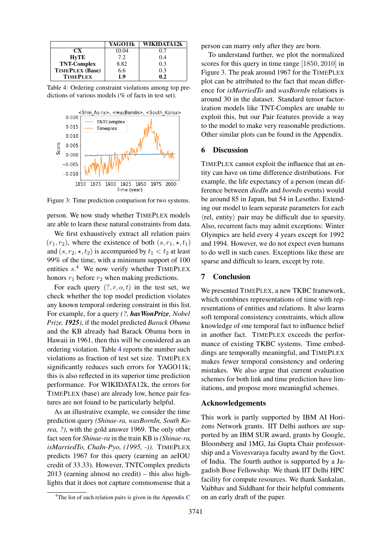<span id="page-8-1"></span>

|                    | YAGO11k | WIKIDATA 12k |
|--------------------|---------|--------------|
| CX.                | 10.04   | 0.7          |
| HvTE               | 7.2     | 0.4          |
| <b>TNT-Complex</b> | 8.82    | 0.3          |
| TIMEPLEX (Base)    | 6.6     | 0.3          |
| <b>TIMEPLEX</b>    | 1.9     | 0.2          |

Table 4: Ordering constraint violations among top predictions of various models (% of facts in test set).

<span id="page-8-2"></span>

Figure 3: Time prediction comparison for two systems.

person. We now study whether TIMEPLEX models are able to learn these natural constraints from data.

We first exhaustively extract all relation pairs  $(r_1, r_2)$ , where the existence of both  $(s, r_1, \star, t_1)$ and  $(s, r_2, \star, t_2)$  is accompanied by  $t_1 < t_2$  at least 99% of the time, with a minimum support of 100 entities  $s^4$  $s^4$  We now verify whether TIMEPLEX honors  $r_1$  before  $r_2$  when making predictions.

For each query  $(?, r, o, t)$  in the test set, we check whether the top model prediction violates any known temporal ordering constraint in this list. For example, for a query *(?, hasWonPrize, Nobel Prize, 1925)*, if the model predicted *Barack Obama* and the KB already had Barack Obama born in Hawaii in 1961, then this will be considered as an ordering violation. Table [4](#page-8-1) reports the number such violations as fraction of test set size. TIMEPLEX significantly reduces such errors for YAGO11k; this is also reflected in its superior time prediction performance. For WIKIDATA12k, the errors for TIMEPLEX (base) are already low, hence pair features are not found to be particularly helpful.

As an illustrative example, we consider the time prediction query *(Shinae-ra, wasBornIn, South Korea, ?)*, with the gold answer 1969. The only other fact seen for *Shinae-ra* in the train KB is *(Shinae-ra, isMarriedTo, ChaIn-Pyo, (1995, -))*. TIMEPLEX predicts 1967 for this query (earning an aeIOU credit of 33.33). However, TNTComplex predicts 2013 (earning almost no credit) – this also highlights that it does not capture commonsense that a person can marry only after they are born.

To understand further, we plot the normalized scores for this query in time range [1850, 2010] in Figure [3.](#page-8-2) The peak around 1967 for the TIMEPLEX plot can be attributed to the fact that mean difference for *isMarriedTo* and *wasBornIn* relations is around 30 in the dataset. Standard tensor factorization models like TNT-Complex are unable to exploit this, but our Pair features provide a way to the model to make very reasonable predictions. Other similar plots can be found in the Appendix.

### 6 Discussion

TIMEPLEX cannot exploit the influence that an entity can have on time difference distributions. For example, the life expectancy of a person (mean difference between *diedIn* and *bornIn* events) would be around 85 in Japan, but 54 in Lesotho. Extending our model to learn separate parameters for each  $\langle$ rel, entity $\rangle$  pair may be difficult due to sparsity. Also, recurrent facts may admit exceptions: Winter Olympics are held every 4 years except for 1992 and 1994. However, we do not expect even humans to do well in such cases. Exceptions like these are sparse and difficult to learn, except by rote.

## 7 Conclusion

We presented TIMEPLEX, a new TKBC framework, which combines representations of time with representations of entities and relations. It also learns soft temporal consistency constraints, which allow knowledge of one temporal fact to influence belief in another fact. TIMEPLEX exceeds the performance of existing TKBC systems. Time embeddings are temporally meaningful, and TIMEPLEX makes fewer temporal consistency and ordering mistakes. We also argue that current evaluation schemes for both link and time prediction have limitations, and propose more meaningful schemes.

#### Acknowledgements

This work is partly supported by IBM AI Horizons Network grants. IIT Delhi authors are supported by an IBM SUR award, grants by Google, Bloomberg and 1MG, Jai Gupta Chair professorship and a Visvesvaraya faculty award by the Govt. of India. The fourth author is supported by a Jagadish Bose Fellowship. We thank IIT Delhi HPC facility for compute resources. We thank Sankalan, Vaibhav and Siddhant for their helpful comments on an early draft of the paper.

<span id="page-8-0"></span><sup>&</sup>lt;sup>4</sup>The list of such relation pairs is given in the Appendix [C](#page-11-3)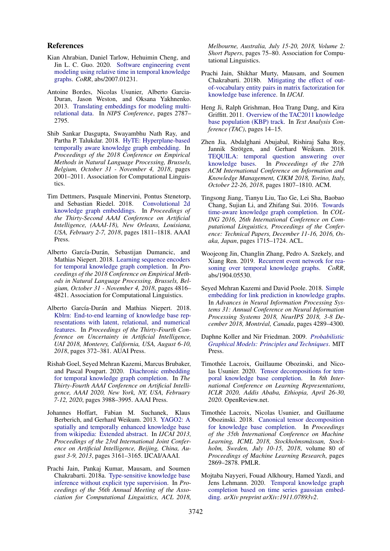#### References

- <span id="page-9-16"></span>Kian Ahrabian, Daniel Tarlow, Hehuimin Cheng, and Jin L. C. Guo. 2020. [Software engineering event](http://arxiv.org/abs/2007.01231) [modeling using relative time in temporal knowledge](http://arxiv.org/abs/2007.01231) [graphs.](http://arxiv.org/abs/2007.01231) *CoRR*, abs/2007.01231.
- <span id="page-9-2"></span>Antoine Bordes, Nicolas Usunier, Alberto Garcia-Duran, Jason Weston, and Oksana Yakhnenko. 2013. [Translating embeddings for modeling multi](http://papers.nips.cc/paper/5071-translating-embeddings-for-modeling-multi-relational-data.pdf)[relational data.](http://papers.nips.cc/paper/5071-translating-embeddings-for-modeling-multi-relational-data.pdf) In *NIPS Conference*, pages 2787– 2795.
- <span id="page-9-7"></span>Shib Sankar Dasgupta, Swayambhu Nath Ray, and Partha P. Talukdar. 2018. [HyTE: Hyperplane-based](https://doi.org/10.18653/v1/d18-1225) [temporally aware knowledge graph embedding.](https://doi.org/10.18653/v1/d18-1225) In *Proceedings of the 2018 Conference on Empirical Methods in Natural Language Processing, Brussels, Belgium, October 31 - November 4, 2018*, pages 2001–2011. Association for Computational Linguistics.
- <span id="page-9-17"></span>Tim Dettmers, Pasquale Minervini, Pontus Stenetorp, and Sebastian Riedel. 2018. [knowledge graph embeddings.](https://www.aaai.org/ocs/index.php/AAAI/AAAI18/paper/view/17366) In *Proceedings of the Thirty-Second AAAI Conference on Artificial Intelligence, (AAAI-18), New Orleans, Louisiana, USA, February 2-7, 2018*, pages 1811–1818. AAAI Press.
- <span id="page-9-9"></span>Alberto García-Durán, Sebastijan Dumancic, and Mathias Niepert. 2018. [Learning sequence encoders](https://www.aclweb.org/anthology/D18-1516/) [for temporal knowledge graph completion.](https://www.aclweb.org/anthology/D18-1516/) In *Proceedings of the 2018 Conference on Empirical Methods in Natural Language Processing, Brussels, Belgium, October 31 - November 4, 2018*, pages 4816– 4821. Association for Computational Linguistics.
- <span id="page-9-15"></span>Alberto García-Durán and Mathias Niepert. 2018. [Kblrn: End-to-end learning of knowledge base rep](http://auai.org/uai2018/proceedings/papers/149.pdf)[resentations with latent, relational, and numerical](http://auai.org/uai2018/proceedings/papers/149.pdf) [features.](http://auai.org/uai2018/proceedings/papers/149.pdf) In *Proceedings of the Thirty-Fourth Conference on Uncertainty in Artificial Intelligence, UAI 2018, Monterey, California, USA, August 6-10, 2018*, pages 372–381. AUAI Press.
- <span id="page-9-6"></span>Rishab Goel, Seyed Mehran Kazemi, Marcus Brubaker, and Pascal Poupart. 2020. [Diachronic embedding](https://aaai.org/ojs/index.php/AAAI/article/view/5815) [for temporal knowledge graph completion.](https://aaai.org/ojs/index.php/AAAI/article/view/5815) In *The Thirty-Fourth AAAI Conference on Artificial Intelligence, AAAI 2020, New York, NY, USA, February 7-12, 2020*, pages 3988–3995. AAAI Press.
- <span id="page-9-0"></span>Johannes Hoffart, Fabian M. Suchanek, Klaus Berberich, and Gerhard Weikum. 2013. [YAGO2: A](http://www.aaai.org/ocs/index.php/IJCAI/IJCAI13/paper/view/6864) [spatially and temporally enhanced knowledge base](http://www.aaai.org/ocs/index.php/IJCAI/IJCAI13/paper/view/6864) [from wikipedia: Extended abstract.](http://www.aaai.org/ocs/index.php/IJCAI/IJCAI13/paper/view/6864) In *IJCAI 2013, Proceedings of the 23rd International Joint Conference on Artificial Intelligence, Beijing, China, August 3-9, 2013*, pages 3161–3165. IJCAI/AAAI.
- <span id="page-9-3"></span>Prachi Jain, Pankaj Kumar, Mausam, and Soumen Chakrabarti. 2018a. [Type-sensitive knowledge base](https://doi.org/10.18653/v1/P18-2013) [inference without explicit type supervision.](https://doi.org/10.18653/v1/P18-2013) In *Proceedings of the 56th Annual Meeting of the Association for Computational Linguistics, ACL 2018,*

*Melbourne, Australia, July 15-20, 2018, Volume 2: Short Papers*, pages 75–80. Association for Computational Linguistics.

- <span id="page-9-5"></span>Prachi Jain, Shikhar Murty, Mausam, and Soumen Chakrabarti. 2018b. [Mitigating the effect of out](https://arxiv.org/abs/1706.00637)[of-vocabulary entity pairs in matrix factorization for](https://arxiv.org/abs/1706.00637) [knowledge base inference.](https://arxiv.org/abs/1706.00637) In *IJCAI*.
- <span id="page-9-13"></span>Heng Ji, Ralph Grishman, Hoa Trang Dang, and Kira Griffitt. 2011. [Overview of the TAC2011 knowledge](https://tac.nist.gov/publications/2010/presentations/TAC2010_KBP_Overview.pdf) [base population \(KBP\) track.](https://tac.nist.gov/publications/2010/presentations/TAC2010_KBP_Overview.pdf) In *Text Analysis Conference (TAC)*, pages 14–15.
- <span id="page-9-11"></span>Zhen Jia, Abdalghani Abujabal, Rishiraj Saha Roy, Jannik Strötgen, and Gerhard Weikum. 2018. [TEQUILA: temporal question answering over](https://doi.org/10.1145/3269206.3269247) [knowledge bases.](https://doi.org/10.1145/3269206.3269247) In *Proceedings of the 27th ACM International Conference on Information and Knowledge Management, CIKM 2018, Torino, Italy, October 22-26, 2018*, pages 1807–1810. ACM.
- <span id="page-9-10"></span>Tingsong Jiang, Tianyu Liu, Tao Ge, Lei Sha, Baobao Chang, Sujian Li, and Zhifang Sui. 2016. [Towards](https://www.aclweb.org/anthology/C16-1161/) [time-aware knowledge graph completion.](https://www.aclweb.org/anthology/C16-1161/) In *COL-ING 2016, 26th International Conference on Computational Linguistics, Proceedings of the Conference: Technical Papers, December 11-16, 2016, Osaka, Japan*, pages 1715–1724. ACL.
- <span id="page-9-12"></span>Woojeong Jin, Changlin Zhang, Pedro A. Szekely, and Xiang Ren. 2019. [Recurrent event network for rea](http://arxiv.org/abs/1904.05530)[soning over temporal knowledge graphs.](http://arxiv.org/abs/1904.05530) *CoRR*, abs/1904.05530.
- <span id="page-9-8"></span>Seyed Mehran Kazemi and David Poole. 2018. [Simple](http://papers.nips.cc/paper/7682-simple-embedding-for-link-prediction-in-knowledge-graphs) [embedding for link prediction in knowledge graphs.](http://papers.nips.cc/paper/7682-simple-embedding-for-link-prediction-in-knowledge-graphs) In *Advances in Neural Information Processing Systems 31: Annual Conference on Neural Information Processing Systems 2018, NeurIPS 2018, 3-8 December 2018, Montreal, Canada ´* , pages 4289–4300.
- <span id="page-9-14"></span>Daphne Koller and Nir Friedman. 2009. *[Probabilistic](http://mitpress.mit.edu/catalog/author/default.asp?aid=15828) [Graphical Models: Principles and Techniques](http://mitpress.mit.edu/catalog/author/default.asp?aid=15828)*. MIT Press.
- <span id="page-9-1"></span>Timothée Lacroix, Guillaume Obozinski, and Nicolas Usunier. 2020. [Tensor decompositions for tem](https://openreview.net/forum?id=rke2P1BFwS)[poral knowledge base completion.](https://openreview.net/forum?id=rke2P1BFwS) In *8th International Conference on Learning Representations, ICLR 2020, Addis Ababa, Ethiopia, April 26-30, 2020*. OpenReview.net.
- <span id="page-9-4"></span>Timothée Lacroix, Nicolas Usunier, and Guillaume Obozinski. 2018. [Canonical tensor decomposition](http://proceedings.mlr.press/v80/lacroix18a.html) [for knowledge base completion.](http://proceedings.mlr.press/v80/lacroix18a.html) In *Proceedings of the 35th International Conference on Machine Learning, ICML 2018, Stockholmsmassan, Stock- ¨ holm, Sweden, July 10-15, 2018*, volume 80 of *Proceedings of Machine Learning Research*, pages 2869–2878. PMLR.
- <span id="page-9-18"></span>Mojtaba Nayyeri, Fouad Alkhoury, Hamed Yazdi, and Jens Lehmann. 2020. [Temporal knowledge graph](https://arxiv.org/abs/1911.07893) [completion based on time series gaussian embed](https://arxiv.org/abs/1911.07893)[ding.](https://arxiv.org/abs/1911.07893) *arXiv preprint arXiv:1911.07893v2*.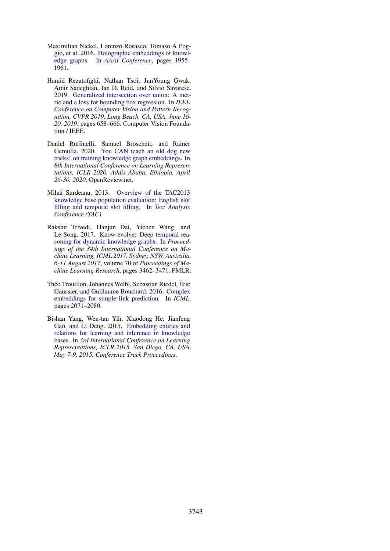- <span id="page-10-1"></span>Maximilian Nickel, Lorenzo Rosasco, Tomaso A Poggio, et al. 2016. [Holographic embeddings of knowl](https://arxiv.org/abs/1510.04935)[edge graphs.](https://arxiv.org/abs/1510.04935) In *AAAI Conference*, pages 1955– 1961.
- <span id="page-10-6"></span>Hamid Rezatofighi, Nathan Tsoi, JunYoung Gwak, Amir Sadeghian, Ian D. Reid, and Silvio Savarese. 2019. [Generalized intersection over union: A met](https://doi.org/10.1109/CVPR.2019.00075)[ric and a loss for bounding box regression.](https://doi.org/10.1109/CVPR.2019.00075) In *IEEE Conference on Computer Vision and Pattern Recognition, CVPR 2019, Long Beach, CA, USA, June 16- 20, 2019*, pages 658–666. Computer Vision Foundation / IEEE.
- <span id="page-10-3"></span>Daniel Ruffinelli, Samuel Broscheit, and Rainer Gemulla. 2020. [You CAN teach an old dog new](https://openreview.net/forum?id=BkxSmlBFvr) [tricks! on training knowledge graph embeddings.](https://openreview.net/forum?id=BkxSmlBFvr) In *8th International Conference on Learning Representations, ICLR 2020, Addis Ababa, Ethiopia, April 26-30, 2020*. OpenReview.net.
- <span id="page-10-5"></span>Mihai Surdeanu. 2013. [Overview of the TAC2013](http://www.surdeanu.info/mihai/papers/kbp2013.pdf) [knowledge base population evaluation: English slot](http://www.surdeanu.info/mihai/papers/kbp2013.pdf) [filling and temporal slot filling.](http://www.surdeanu.info/mihai/papers/kbp2013.pdf) In *Text Analysis Conference (TAC)*.
- <span id="page-10-4"></span>Rakshit Trivedi, Hanjun Dai, Yichen Wang, and Le Song. 2017. [Know-evolve: Deep temporal rea](http://proceedings.mlr.press/v70/trivedi17a.html)[soning for dynamic knowledge graphs.](http://proceedings.mlr.press/v70/trivedi17a.html) In *Proceedings of the 34th International Conference on Machine Learning, ICML 2017, Sydney, NSW, Australia, 6-11 August 2017*, volume 70 of *Proceedings of Machine Learning Research*, pages 3462–3471. PMLR.
- <span id="page-10-2"></span>Théo Trouillon, Johannes Welbl, Sebastian Riedel, Éric Gaussier, and Guillaume Bouchard. 2016. [Complex](http://arxiv.org/abs/1606.06357) [embeddings for simple link prediction.](http://arxiv.org/abs/1606.06357) In *ICML*, pages 2071–2080.
- <span id="page-10-0"></span>Bishan Yang, Wen-tau Yih, Xiaodong He, Jianfeng Gao, and Li Deng. 2015. [Embedding entities and](http://arxiv.org/abs/1412.6575) [relations for learning and inference in knowledge](http://arxiv.org/abs/1412.6575) [bases.](http://arxiv.org/abs/1412.6575) In *3rd International Conference on Learning Representations, ICLR 2015, San Diego, CA, USA, May 7-9, 2015, Conference Track Proceedings*.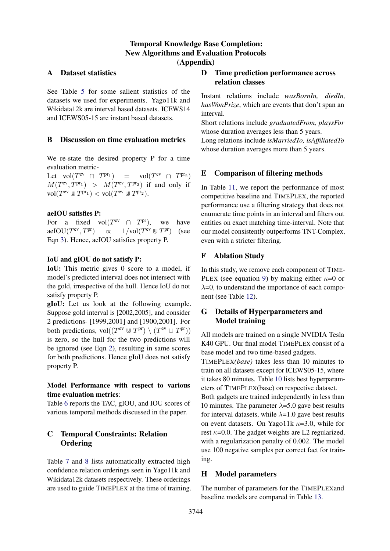## Temporal Knowledge Base Completion: New Algorithms and Evaluation Protocols (Appendix)

## <span id="page-11-1"></span>A Dataset statistics

See Table [5](#page-12-0) for some salient statistics of the datasets we used for experiments. Yago11k and Wikidata12k are interval based datasets. ICEWS14 and ICEWS05-15 are instant based datasets.

### <span id="page-11-0"></span>B Discussion on time evaluation metrics

We re-state the desired property P for a time evaluation metric-

Let  $vol(T^{ev} \cap T)$  $P^{\text{pr}_1}$  = vol $(T^{\text{ev}} \cap T^{\text{pr}_2})$  $M(T<sup>ev</sup>, T<sup>pr<sub>1</sub></sup>) > M(T<sup>ev</sup>, T<sup>pr<sub>2</sub></sup>)$  if and only if  $\text{vol}(T^{\text{ev}} \otimes T^{\text{pr}_1}) < \text{vol}(T^{\text{ev}} \otimes T^{\text{pr}_2}).$ 

### aeIOU satisfies P:

For a fixed  $vol(T^{ev} \cap T^{pr})$ , we have aeIOU $(T<sup>ev</sup>, T<sup>pr</sup>)$  $e^{\rm ev}, T^{\rm pr}$ )  $\propto 1/\text{vol}(T^{\rm ev} \cup T^{\rm pr})$  (see Eqn [3\)](#page-2-2). Hence, aeIOU satisfies property P.

#### IoU and gIOU do not satisfy P:

IoU: This metric gives 0 score to a model, if model's predicted interval does not intersect with the gold, irrespective of the hull. Hence IoU do not satisfy property P.

gIoU: Let us look at the following example. Suppose gold interval is [2002,2005], and consider 2 predictions- [1999,2001] and [1900,2001]. For both predictions,  $vol((T<sup>ev</sup> \cup T<sup>pr</sup>) \setminus (T<sup>ev</sup> \cup T<sup>pr</sup>))$ is zero, so the hull for the two predictions will be ignored (see Eqn [2\)](#page-2-3), resulting in same scores for both predictions. Hence gIoU does not satisfy property P.

## Model Performance with respect to various time evaluation metrics:

Table [6](#page-12-1) reports the TAC, gIOU, and IOU scores of various temporal methods discussed in the paper.

## <span id="page-11-3"></span>C Temporal Constraints: Relation **Ordering**

Table [7](#page-12-2) and [8](#page-12-3) lists automatically extracted high confidence relation orderings seen in Yago11k and Wikidata12k datasets respectively. These orderings are used to guide TIMEPLEX at the time of training.

## D Time prediction performance across relation classes

Instant relations include *wasBornIn, diedIn, hasWonPrize*, which are events that don't span an interval.

Short relations include *graduatedFrom, playsFor* whose duration averages less than 5 years. Long relations include *isMarriedTo, isAffiliatedTo*

### E Comparison of filtering methods

whose duration averages more than 5 years.

In Table [11,](#page-13-0) we report the performance of most competitive baseline and TIMEPLEX, the reported performance use a filtering strategy that does not enumerate time points in an interval and filters out entities on exact matching time-interval. Note that our model consistently outperforms TNT-Complex, even with a stricter filtering.

### F Ablation Study

In this study, we remove each component of TIME-PLEX (see equation [9\)](#page-5-3) by making either  $\kappa=0$  or  $\lambda$ =0, to understand the importance of each component (see Table [12\)](#page-13-1).

## <span id="page-11-2"></span>G Details of Hyperparameters and Model training

All models are trained on a single NVIDIA Tesla K40 GPU. Our final model TIMEPLEX consist of a base model and two time-based gadgets.

TIMEPLEX*(base)* takes less than 10 minutes to train on all datasets except for ICEWS05-15, where it takes 80 minutes. Table [10](#page-13-2) lists best hyperparameters of TIMEPLEX(base) on respective dataset.

Both gadgets are trained independently in less than 10 minutes. The parameter  $\lambda$ =5.0 gave best results for interval datasets, while  $\lambda=1.0$  gave best results on event datasets. On Yago11k  $\kappa$ =3.0, while for rest  $\kappa$ =0.0. The gadget weights are L2 regularized, with a regularization penalty of 0.002. The model use 100 negative samples per correct fact for training.

## H Model parameters

The number of parameters for the TIMEPLEXand baseline models are compared in Table [13.](#page-13-3)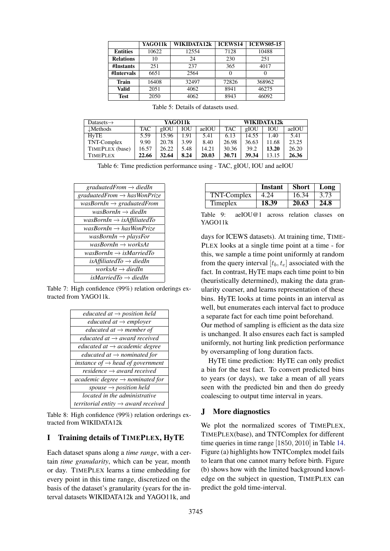<span id="page-12-0"></span>

|                  | YAGO11k | WIKIDATA12k | <b>ICEWS14</b> | <b>ICEWS05-15</b> |
|------------------|---------|-------------|----------------|-------------------|
| <b>Entities</b>  | 10622   | 12554       | 7128           | 10488             |
| <b>Relations</b> | 10      | 24          | 230            | 251               |
| #Instants        | 251     | 237         | 365            | 4017              |
| #Intervals       | 6651    | 2564        |                |                   |
| <b>Train</b>     | 16408   | 32497       | 72826          | 368962            |
| Valid            | 2051    | 4062        | 8941           | 46275             |
| <b>Test</b>      | 2050    | 4062        | 8943           | 46092             |

<span id="page-12-1"></span>

| Datasets $\rightarrow$ |            | WIKIDATA12k<br>YAGO11k |            |       |            |       |            |       |
|------------------------|------------|------------------------|------------|-------|------------|-------|------------|-------|
| $\mathcal{L}$ Methods  | <b>TAC</b> | gIOU                   | <b>IOU</b> | aeIOU | <b>TAC</b> | gIOU  | <b>IOU</b> | aeIOU |
| HvTE                   | 5.59       | 15.96                  | 1.91       | 5.41  | 6.13       | 14.55 | 1.40       | 5.41  |
| TNT-Complex            | 9.90       | 20.78                  | 3.99       | 8.40  | 26.98      | 36.63 | 11.68      | 23.25 |
| TIMEPLEX (base)        | 16.57      | 26.22                  | 5.48       | 14.21 | 30.36      | 39.2  | 13.20      | 26.20 |
| <b>TIMEPLEX</b>        | 22.66      | 32.64                  | 8.24       | 20.03 | 30.71      | 39.34 | 13.15      | 26.36 |

Table 6: Time prediction performance using - TAC, gIOU, IOU and aeIOU

<span id="page-12-2"></span>

| graduatedFrom $\rightarrow$ diedIn                       |
|----------------------------------------------------------|
| graduatedFrom $\rightarrow$ hasWonPrize                  |
| was $\textit{BornIn} \rightarrow \textit{graduatedFrom}$ |
| wasBornIn $\rightarrow$ diedIn                           |
| $wasBornIn \rightarrow isAffulated To$                   |
| was $BornIn \rightarrow hasW on Prize$                   |
| wasBornIn $\rightarrow$ playsFor                         |
| $wasBornIn \rightarrow worksAt$                          |
| wasBornIn $\rightarrow$ isMarriedTo                      |
| isAffiliatedTo $\rightarrow$ diedIn                      |
| works $At \rightarrow diedIn$                            |
| isMarriedTo $\rightarrow$ diedIn                         |

<span id="page-12-3"></span>Table 7: High confidence (99%) relation orderings extracted from YAGO11k.

| educated at $\rightarrow$ position held          |
|--------------------------------------------------|
| <i>educated at</i> $\rightarrow$ <i>employer</i> |
| educated at $\rightarrow$ member of              |
| educated at $\rightarrow$ award received         |
| educated at $\rightarrow$ academic degree        |
| educated at $\rightarrow$ nominated for          |
| instance of $\rightarrow$ head of government     |
| residence $\rightarrow$ award received           |
| $academic$ degree $\rightarrow$ nominated for    |
| spouse $\rightarrow$ position held               |
| located in the administrative                    |
| territorial entity $\rightarrow$ award received  |

Table 8: High confidence (99%) relation orderings extracted from WIKIDATA12k

### I Training details of TIMEPLEX, HyTE

Each dataset spans along a *time range*, with a certain *time granularity*, which can be year, month or day. TIMEPLEX learns a time embedding for every point in this time range, discretized on the basis of the dataset's granularity (years for the interval datasets WIKIDATA12k and YAGO11k, and

|             | Instant | <b>Short</b> | Long |
|-------------|---------|--------------|------|
| TNT-Complex | 4.24    | 16.34        | 3.73 |
| Timeplex    | 18.39   | 20.63        | 24.8 |

Table 9: aeIOU@1 across relation classes on YAGO11k

days for ICEWS datasets). At training time, TIME-PLEX looks at a single time point at a time - for this, we sample a time point uniformly at random from the query interval  $[t_b, t_e]$  associated with the fact. In contrast, HyTE maps each time point to bin (heuristically determined), making the data granularity coarser, and learns representation of these bins. HyTE looks at time points in an interval as well, but enumerates each interval fact to produce a separate fact for each time point beforehand.

Our method of sampling is efficient as the data size is unchanged. It also ensures each fact is sampled uniformly, not hurting link prediction performance by oversampling of long duration facts.

HyTE time prediction: HyTE can only predict a bin for the test fact. To convert predicted bins to years (or days), we take a mean of all years seen with the predicted bin and then do greedy coalescing to output time interval in years.

### J More diagnostics

We plot the normalized scores of TIMEPLEX, TIMEPLEX(base), and TNTComplex for different time queries in time range [1850, 2010] in Table [14.](#page-14-0) Figure (a) highlights how TNTComplex model fails to learn that one cannot marry before birth. Figure (b) shows how with the limited background knowledge on the subject in question, TIMEPLEX can predict the gold time-interval.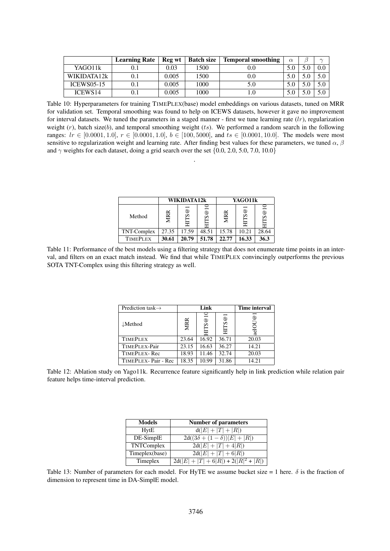<span id="page-13-2"></span>

|                     | <b>Learning Rate</b> | Reg wt | <b>Batch size</b> | <b>Temporal smoothing</b> | $\alpha$ | $\sim$  |
|---------------------|----------------------|--------|-------------------|---------------------------|----------|---------|
| YAGO11k             | 0.1                  | 0.03   | 1500              |                           |          | $0.0\,$ |
| WIKIDATA12k         |                      | 0.005  | 1500              | 0.0                       |          |         |
| <b>ICEWS05-15</b>   | 0.1                  | 0.005  | 1000              | 5.0                       |          |         |
| ICEWS <sub>14</sub> |                      | 0.005  | 1000              |                           |          |         |

Table 10: Hyperparameters for training TIMEPLEX(base) model embeddings on various datasets, tuned on MRR for validation set. Temporal smoothing was found to help on ICEWS datasets, however it gave no improvement for interval datasets. We tuned the parameters in a staged manner - first we tune learning rate  $(lr)$ , regularization weight  $(r)$ , batch size(b), and temporal smoothing weight  $(ts)$ . We performed a random search in the following ranges:  $lr \in [0.0001, 1.0], r \in [0.0001, 1.0], b \in [100, 5000],$  and  $ts \in [0.0001, 10.0]$ . The models were most sensitive to regularization weight and learning rate. After finding best values for these parameters, we tuned  $\alpha$ ,  $\beta$ and  $\gamma$  weights for each dataset, doing a grid search over the set {0.0, 2.0, 5.0, 7.0, 10.0}

.

|                 |       | WIKIDATA12k |               |       | YAGO11k |        |
|-----------------|-------|-------------|---------------|-------|---------|--------|
| Method          |       | S@          | $\mathcal{S}$ |       | HITS@1  | ම<br>Ω |
| TNT-Complex     | 27.35 | 17.59       | 48.51         | 15.78 | 10.21   | 28.64  |
| <b>TIMEPLEX</b> | 30.61 | 20.79       | 51.78         | 22.77 | 16.33   | 36.3   |

<span id="page-13-1"></span><span id="page-13-0"></span>Table 11: Performance of the best models using a filtering strategy that does not enumerate time points in an interval, and filters on an exact match instead. We find that while TIMEPLEX convincingly outperforms the previous SOTA TNT-Complex using this filtering strategy as well.

| Prediction task $\rightarrow$ | Link       |               |                 | <b>Time interval</b> |
|-------------------------------|------------|---------------|-----------------|----------------------|
| $\downarrow$ Method           | <b>MRR</b> | $\mathcal{S}$ | $^{\circ}$<br>Š | ☺                    |
| <b>TIMEPLEX</b>               | 23.64      | 16.92         | 36.71           | 20.03                |
| TIMEPLEX-Pair                 | 23.15      | 16.63         | 36.27           | 14.21                |
| TIMEPLEX-Rec                  | 18.93      | 11.46         | 32.74           | 20.03                |
| TIMEPLEX-Pair - Rec           | 18.35      | 10.99         | 31.86           | 14.21                |

<span id="page-13-3"></span>Table 12: Ablation study on Yago11k. Recurrence feature significantly help in link prediction while relation pair feature helps time-interval prediction.

| <b>Models</b>  | <b>Number of parameters</b>           |
|----------------|---------------------------------------|
| HytE           | $d( E  +  T  +  R )$                  |
| DE-SimplE      | $2d((3\delta + (1-\delta)) E  +  R )$ |
| TNTComplex     | $2d( E + T +4 R )$                    |
| Timeplex(base) | $2d( E  +  T  + 6 R )$                |
| Timeplex       | $2d( E + T +6 R )+2( R ^2+ R )$       |

Table 13: Number of parameters for each model. For HyTE we assume bucket size = 1 here.  $\delta$  is the fraction of dimension to represent time in DA-SimplE model.